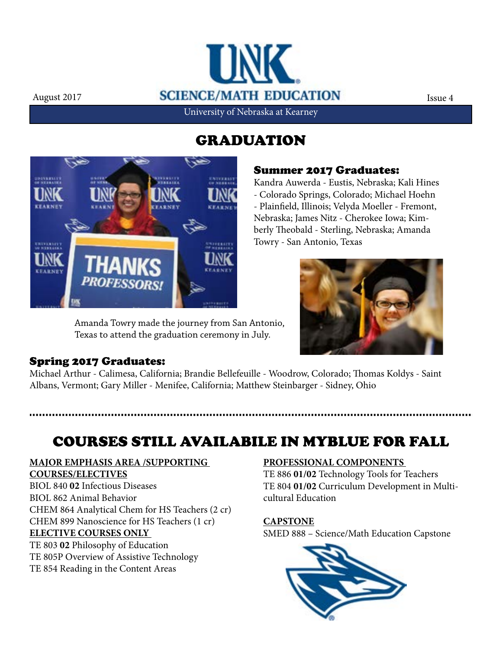

## GRADUATION



Amanda Towry made the journey from San Antonio, Texas to attend the graduation ceremony in July.

#### Summer 2017 Graduates:

Kandra Auwerda - Eustis, Nebraska; Kali Hines - Colorado Springs, Colorado; Michael Hoehn - Plainfield, Illinois; Velyda Moeller - Fremont, Nebraska; James Nitz - Cherokee Iowa; Kimberly Theobald - Sterling, Nebraska; Amanda Towry - San Antonio, Texas



#### Spring 2017 Graduates:

Michael Arthur - Calimesa, California; Brandie Bellefeuille - Woodrow, Colorado; Thomas Koldys - Saint Albans, Vermont; Gary Miller - Menifee, California; Matthew Steinbarger - Sidney, Ohio

# COURSES STILL AVAILABILE IN MYBLUE FOR FALL

#### **MAJOR EMPHASIS AREA /SUPPORTING**

**COURSES/ELECTIVES**

BIOL 840 **02** Infectious Diseases BIOL 862 Animal Behavior CHEM 864 Analytical Chem for HS Teachers (2 cr) CHEM 899 Nanoscience for HS Teachers (1 cr) **ELECTIVE COURSES ONLY**  TE 803 **02** Philosophy of Education TE 805P Overview of Assistive Technology

TE 854 Reading in the Content Areas

#### **PROFESSIONAL COMPONENTS**

TE 886 **01/02** Technology Tools for Teachers TE 804 **01/02** Curriculum Development in Multicultural Education

#### **CAPSTONE**

SMED 888 – Science/Math Education Capstone

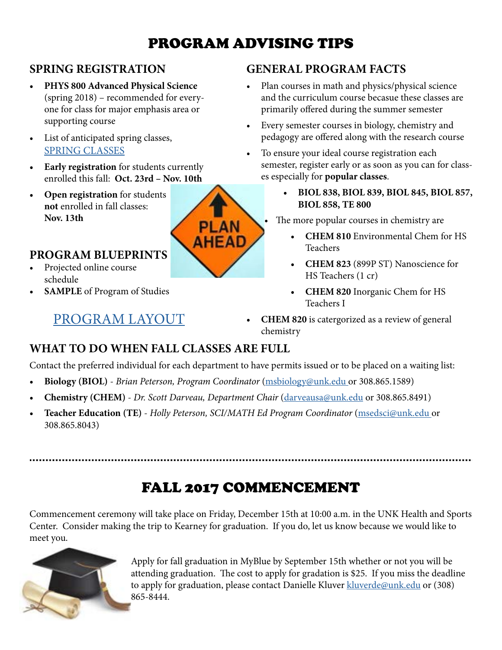# PROGRAM ADVISING TIPS

### **SPRING REGISTRATION**

- **• PHYS 800 Advanced Physical Science**  (spring 2018) – recommended for everyone for class for major emphasis area or supporting course
- List of anticipated spring classes, [SPRING CLASSES](http://www.unk.edu/academics/science-math-ed/spring_classes.php)
- **• Early registration** for students currently enrolled this fall: **Oct. 23rd – Nov. 10th**
- **• Open registration** for students **not** enrolled in fall classes: **Nov. 13th**

#### **PROGRAM BLUEPRINTS**

- Projected online course schedule
- **• SAMPLE** of Program of Studies

## [PROGRAM LAYOUT](http://www.unk.edu/academics/science-math-ed/program-courses.php)

### **GENERAL PROGRAM FACTS**

- Plan courses in math and physics/physical science and the curriculum course becasue these classes are primarily offered during the summer semester
- Every semester courses in biology, chemistry and pedagogy are offered along with the research course
- To ensure your ideal course registration each semester, register early or as soon as you can for classes especially for **popular classes**.
	- **• BIOL 838, BIOL 839, BIOL 845, BIOL 857, BIOL 858, TE 800**

The more popular courses in chemistry are

- **• CHEM 810** Environmental Chem for HS **Teachers**
- **• CHEM 823** (899P ST) Nanoscience for HS Teachers (1 cr)
- **• CHEM 820** Inorganic Chem for HS Teachers I
- **• CHEM 820** is catergorized as a review of general chemistry

### **WHAT TO DO WHEN FALL CLASSES ARE FULL**

Contact the preferred individual for each department to have permits issued or to be placed on a waiting list:

- **• Biology (BIOL)** *Brian Peterson, Program Coordinator* ([msbiology@unk.edu o](mailto:msbiology%40unk.edu?subject=)r 308.865.1589)
- **• Chemistry (CHEM)** *Dr. Scott Darveau, Department Chair* ([darveausa@unk.edu](mailto:darveausa@unk.edu) or 308.865.8491)
- **• Teacher Education (TE)** *Holly Peterson, SCI/MATH Ed Program Coordinator* ([msedsci@unk.edu](mailto:msedsci@unk.edu ) or 308.865.8043)

# FALL 2017 COMMENCEMENT

Commencement ceremony will take place on Friday, December 15th at 10:00 a.m. in the UNK Health and Sports Center. Consider making the trip to Kearney for graduation. If you do, let us know because we would like to meet you.



Apply for fall graduation in MyBlue by September 15th whether or not you will be attending graduation. The cost to apply for gradation is \$25. If you miss the deadline to apply for graduation, please contact Danielle Kluver [kluverde@unk.edu](mailto:kluverde%40unk.edu?subject=) or (308) 865-8444.

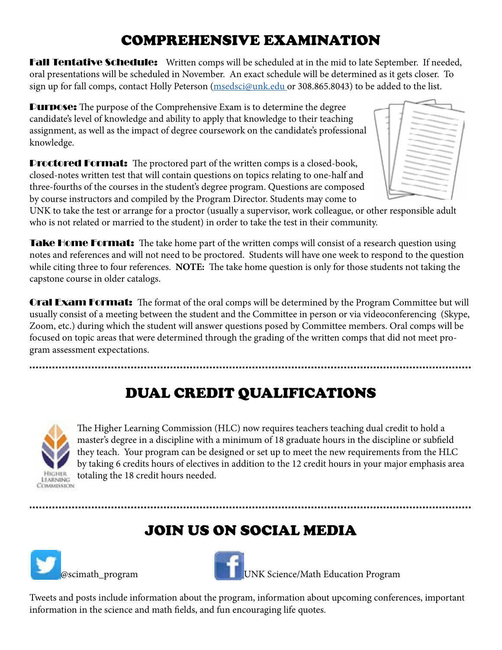# COMPREHENSIVE EXAMINATION

**Fall Tentative Schedule:** Written comps will be scheduled at in the mid to late September. If needed, oral presentations will be scheduled in November. An exact schedule will be determined as it gets closer. To sign up for fall comps, contact Holly Peterson ([msedsci@unk.edu](mailto:msedsci%40unk.edu?subject=) or 308.865.8043) to be added to the list.

Purpose: The purpose of the Comprehensive Exam is to determine the degree candidate's level of knowledge and ability to apply that knowledge to their teaching assignment, as well as the impact of degree coursework on the candidate's professional knowledge.

**Proctored Format:** The proctored part of the written comps is a closed-book, closed-notes written test that will contain questions on topics relating to one-half and three-fourths of the courses in the student's degree program. Questions are composed by course instructors and compiled by the Program Director. Students may come to



UNK to take the test or arrange for a proctor (usually a supervisor, work colleague, or other responsible adult who is not related or married to the student) in order to take the test in their community.

Take Home Format: The take home part of the written comps will consist of a research question using notes and references and will not need to be proctored. Students will have one week to respond to the question while citing three to four references. **NOTE:** The take home question is only for those students not taking the capstone course in older catalogs.

**Oral Exam Format:** The format of the oral comps will be determined by the Program Committee but will usually consist of a meeting between the student and the Committee in person or via videoconferencing (Skype, Zoom, etc.) during which the student will answer questions posed by Committee members. Oral comps will be focused on topic areas that were determined through the grading of the written comps that did not meet program assessment expectations.

# DUAL CREDIT QUALIFICATIONS



The Higher Learning Commission (HLC) now requires teachers teaching dual credit to hold a master's degree in a discipline with a minimum of 18 graduate hours in the discipline or subfield they teach. Your program can be designed or set up to meet the new requirements from the HLC by taking 6 credits hours of electives in addition to the 12 credit hours in your major emphasis area totaling the 18 credit hours needed.

# JOIN US ON SOCIAL MEDIA





**EXECUTE:** UNK Science/Math Education Program

Tweets and posts include information about the program, information about upcoming conferences, important information in the science and math fields, and fun encouraging life quotes.